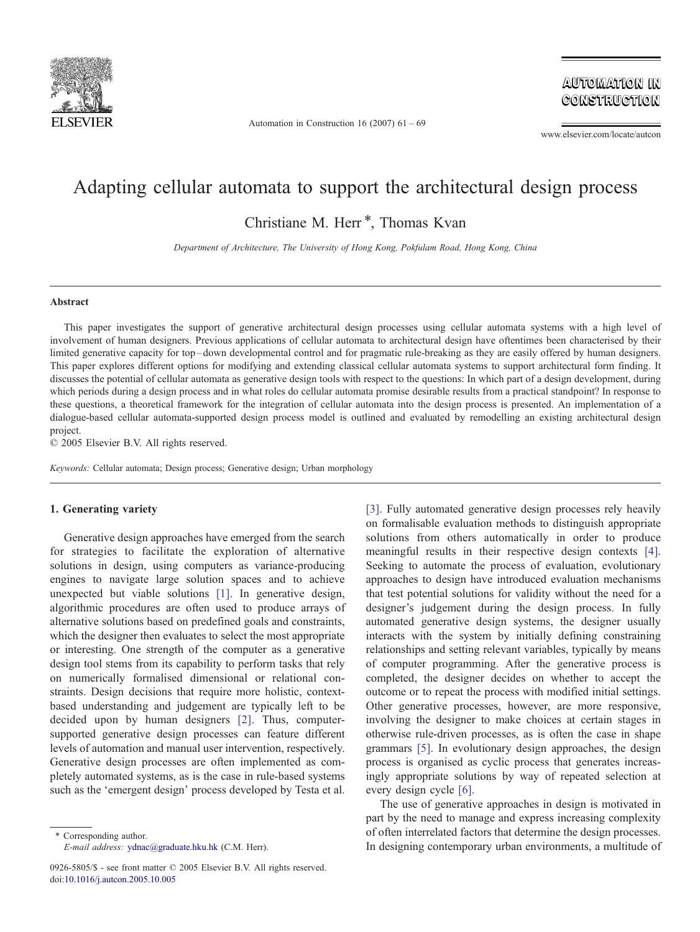

Automation in Construction 16 (2007)  $61 - 69$ 

**AUTOMATION IN** CONSTRUCTION

www.elsevier.com/locate/autcon

# Adapting cellular automata to support the architectural design process

Christiane M. Herr \*, Thomas Kvan

Department of Architecture, The University of Hong Kong, Pokfulam Road, Hong Kong, China

### Abstract

This paper investigates the support of generative architectural design processes using cellular automata systems with a high level of involvement of human designers. Previous applications of cellular automata to architectural design have oftentimes been characterised by their limited generative capacity for top – down developmental control and for pragmatic rule-breaking as they are easily offered by human designers. This paper explores different options for modifying and extending classical cellular automata systems to support architectural form finding. It discusses the potential of cellular automata as generative design tools with respect to the questions: In which part of a design development, during which periods during a design process and in what roles do cellular automata promise desirable results from a practical standpoint? In response to these questions, a theoretical framework for the integration of cellular automata into the design process is presented. An implementation of a dialogue-based cellular automata-supported design process model is outlined and evaluated by remodelling an existing architectural design project.

 $© 2005 Elsevier B.V. All rights reserved.$ 

Keywords: Cellular automata; Design process; Generative design; Urban morphology

## 1. Generating variety

Generative design approaches have emerged from the search for strategies to facilitate the exploration of alternative solutions in design, using computers as variance-producing engines to navigate large solution spaces and to achieve unexpected but viable solutions [\[1\].](#page--1-0) In generative design, algorithmic procedures are often used to produce arrays of alternative solutions based on predefined goals and constraints, which the designer then evaluates to select the most appropriate or interesting. One strength of the computer as a generative design tool stems from its capability to perform tasks that rely on numerically formalised dimensional or relational constraints. Design decisions that require more holistic, contextbased understanding and judgement are typically left to be decided upon by human designers [\[2\].](#page--1-0) Thus, computersupported generative design processes can feature different levels of automation and manual user intervention, respectively. Generative design processes are often implemented as completely automated systems, as is the case in rule-based systems such as the 'emergent design' process developed by Testa et al.

\* Corresponding author.

E-mail address: [ydnac@graduate.hku.hk](mailto:ydnac@graduate.hku.hk) (C.M. Herr).

0926-5805/\$ - see front matter © 2005 Elsevier B.V. All rights reserved. do[i:10.1016/j.autcon.2005.10.005](http://dx.doi.org/10.1016/j.autcon.2005.10.005)

[\[3\].](#page--1-0) Fully automated generative design processes rely heavily on formalisable evaluation methods to distinguish appropriate solutions from others automatically in order to produce meaningful results in their respective design contexts [\[4\]](#page--1-0). Seeking to automate the process of evaluation, evolutionary approaches to design have introduced evaluation mechanisms that test potential solutions for validity without the need for a designer's judgement during the design process. In fully automated generative design systems, the designer usually interacts with the system by initially defining constraining relationships and setting relevant variables, typically by means of computer programming. After the generative process is completed, the designer decides on whether to accept the outcome or to repeat the process with modified initial settings. Other generative processes, however, are more responsive, involving the designer to make choices at certain stages in otherwise rule-driven processes, as is often the case in shape grammars [\[5\]](#page--1-0). In evolutionary design approaches, the design process is organised as cyclic process that generates increasingly appropriate solutions by way of repeated selection at every design cycle [\[6\]](#page--1-0).

The use of generative approaches in design is motivated in part by the need to manage and express increasing complexity of often interrelated factors that determine the design processes. In designing contemporary urban environments, a multitude of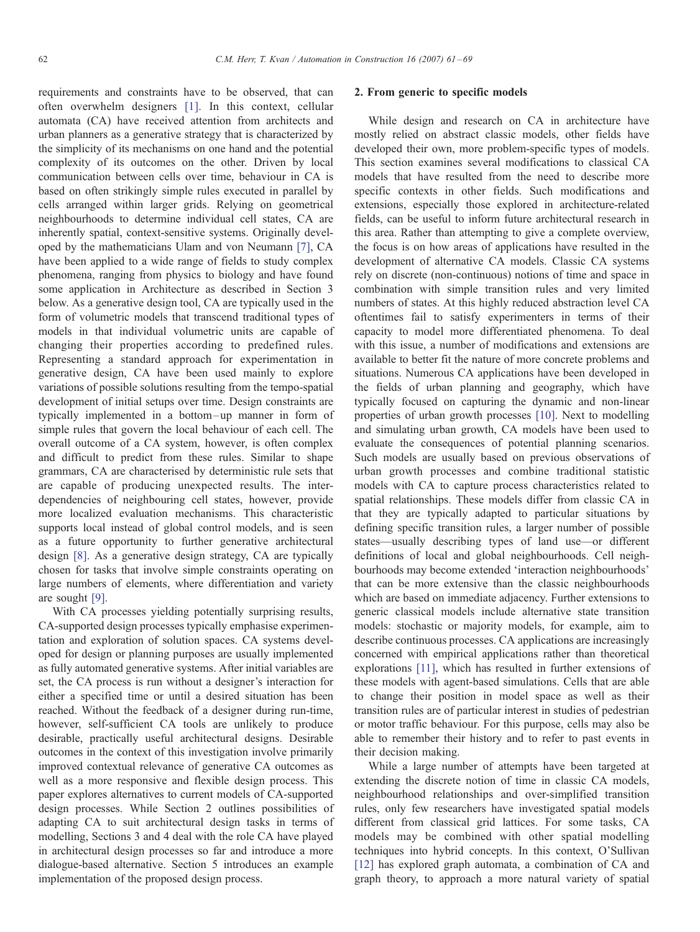requirements and constraints have to be observed, that can often overwhelm designers [\[1\].](#page--1-0) In this context, cellular automata (CA) have received attention from architects and urban planners as a generative strategy that is characterized by the simplicity of its mechanisms on one hand and the potential complexity of its outcomes on the other. Driven by local communication between cells over time, behaviour in CA is based on often strikingly simple rules executed in parallel by cells arranged within larger grids. Relying on geometrical neighbourhoods to determine individual cell states, CA are inherently spatial, context-sensitive systems. Originally developed by the mathematicians Ulam and von Neumann [\[7\],](#page--1-0) CA have been applied to a wide range of fields to study complex phenomena, ranging from physics to biology and have found some application in Architecture as described in Section 3 below. As a generative design tool, CA are typically used in the form of volumetric models that transcend traditional types of models in that individual volumetric units are capable of changing their properties according to predefined rules. Representing a standard approach for experimentation in generative design, CA have been used mainly to explore variations of possible solutions resulting from the tempo-spatial development of initial setups over time. Design constraints are typically implemented in a bottom-up manner in form of simple rules that govern the local behaviour of each cell. The overall outcome of a CA system, however, is often complex and difficult to predict from these rules. Similar to shape grammars, CA are characterised by deterministic rule sets that are capable of producing unexpected results. The interdependencies of neighbouring cell states, however, provide more localized evaluation mechanisms. This characteristic supports local instead of global control models, and is seen as a future opportunity to further generative architectural design [\[8\]](#page--1-0). As a generative design strategy, CA are typically chosen for tasks that involve simple constraints operating on large numbers of elements, where differentiation and variety are sought [\[9\]](#page--1-0).

With CA processes yielding potentially surprising results, CA-supported design processes typically emphasise experimentation and exploration of solution spaces. CA systems developed for design or planning purposes are usually implemented as fully automated generative systems. After initial variables are set, the CA process is run without a designer's interaction for either a specified time or until a desired situation has been reached. Without the feedback of a designer during run-time, however, self-sufficient CA tools are unlikely to produce desirable, practically useful architectural designs. Desirable outcomes in the context of this investigation involve primarily improved contextual relevance of generative CA outcomes as well as a more responsive and flexible design process. This paper explores alternatives to current models of CA-supported design processes. While Section 2 outlines possibilities of adapting CA to suit architectural design tasks in terms of modelling, Sections 3 and 4 deal with the role CA have played in architectural design processes so far and introduce a more dialogue-based alternative. Section 5 introduces an example implementation of the proposed design process.

#### 2. From generic to specific models

While design and research on CA in architecture have mostly relied on abstract classic models, other fields have developed their own, more problem-specific types of models. This section examines several modifications to classical CA models that have resulted from the need to describe more specific contexts in other fields. Such modifications and extensions, especially those explored in architecture-related fields, can be useful to inform future architectural research in this area. Rather than attempting to give a complete overview, the focus is on how areas of applications have resulted in the development of alternative CA models. Classic CA systems rely on discrete (non-continuous) notions of time and space in combination with simple transition rules and very limited numbers of states. At this highly reduced abstraction level CA oftentimes fail to satisfy experimenters in terms of their capacity to model more differentiated phenomena. To deal with this issue, a number of modifications and extensions are available to better fit the nature of more concrete problems and situations. Numerous CA applications have been developed in the fields of urban planning and geography, which have typically focused on capturing the dynamic and non-linear properties of urban growth processes [\[10\].](#page--1-0) Next to modelling and simulating urban growth, CA models have been used to evaluate the consequences of potential planning scenarios. Such models are usually based on previous observations of urban growth processes and combine traditional statistic models with CA to capture process characteristics related to spatial relationships. These models differ from classic CA in that they are typically adapted to particular situations by defining specific transition rules, a larger number of possible states—usually describing types of land use—or different definitions of local and global neighbourhoods. Cell neighbourhoods may become extended 'interaction neighbourhoods' that can be more extensive than the classic neighbourhoods which are based on immediate adjacency. Further extensions to generic classical models include alternative state transition models: stochastic or majority models, for example, aim to describe continuous processes. CA applications are increasingly concerned with empirical applications rather than theoretical explorations [\[11\],](#page--1-0) which has resulted in further extensions of these models with agent-based simulations. Cells that are able to change their position in model space as well as their transition rules are of particular interest in studies of pedestrian or motor traffic behaviour. For this purpose, cells may also be able to remember their history and to refer to past events in their decision making.

While a large number of attempts have been targeted at extending the discrete notion of time in classic CA models, neighbourhood relationships and over-simplified transition rules, only few researchers have investigated spatial models different from classical grid lattices. For some tasks, CA models may be combined with other spatial modelling techniques into hybrid concepts. In this context, O'Sullivan [\[12\]](#page--1-0) has explored graph automata, a combination of CA and graph theory, to approach a more natural variety of spatial